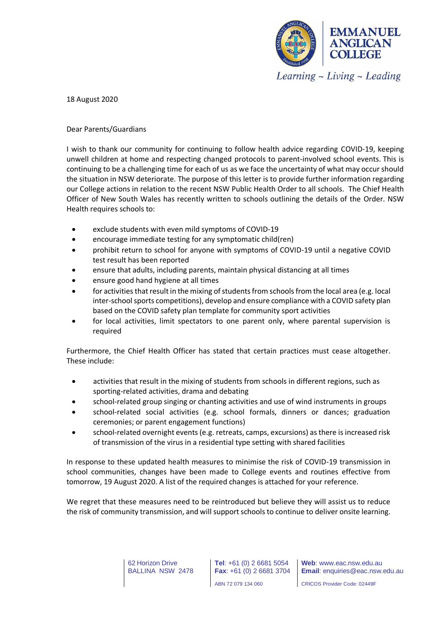

18 August 2020

## Dear Parents/Guardians

I wish to thank our community for continuing to follow health advice regarding COVID-19, keeping unwell children at home and respecting changed protocols to parent-involved school events. This is continuing to be a challenging time for each of us as we face the uncertainty of what may occur should the situation in NSW deteriorate. The purpose of this letter is to provide further information regarding our College actions in relation to the recent NSW Public Health Order to all schools. The Chief Health Officer of New South Wales has recently written to schools outlining the details of the Order. NSW Health requires schools to:

- exclude students with even mild symptoms of COVID-19
- encourage immediate testing for any symptomatic child(ren)
- prohibit return to school for anyone with symptoms of COVID-19 until a negative COVID test result has been reported
- ensure that adults, including parents, maintain physical distancing at all times
- ensure good hand hygiene at all times
- for activities that result in the mixing of students from schools from the local area (e.g. local inter-school sports competitions), develop and ensure compliance with a COVID safety plan based on the COVID safety plan template for community sport activities
- for local activities, limit spectators to one parent only, where parental supervision is required

Furthermore, the Chief Health Officer has stated that certain practices must cease altogether. These include:

- activities that result in the mixing of students from schools in different regions, such as sporting-related activities, drama and debating
- school-related group singing or chanting activities and use of wind instruments in groups
- school-related social activities (e.g. school formals, dinners or dances; graduation ceremonies; or parent engagement functions)
- school-related overnight events (e.g. retreats, camps, excursions) as there is increased risk of transmission of the virus in a residential type setting with shared facilities

In response to these updated health measures to minimise the risk of COVID-19 transmission in school communities, changes have been made to College events and routines effective from tomorrow, 19 August 2020. A list of the required changes is attached for your reference.

We regret that these measures need to be reintroduced but believe they will assist us to reduce the risk of community transmission, and will support schools to continue to deliver onsite learning.

> 62 Horizon Drive BALLINA NSW 2478

**Tel**: +61 (0) 2 6681 5054 **Fax**: +61 (0) 2 6681 3704

CRICOS Provider Code: 02449F